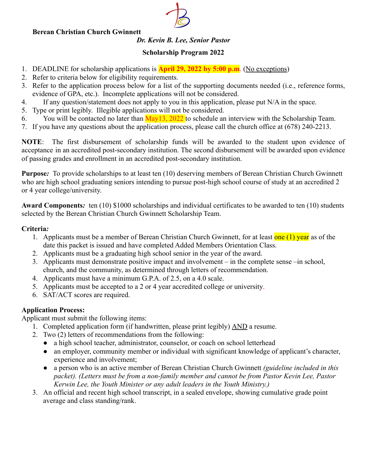#### **Berean Christian Church Gwinnett**

### *Dr. Kevin B. Lee, Senior Pastor*

#### **Scholarship Program 2022**

- 1. DEADLINE for scholarship applications is **April 29, 2022 by 5:00 p.m**. (No exceptions)
- 2. Refer to criteria below for eligibility requirements.
- 3. Refer to the application process below for a list of the supporting documents needed (i.e., reference forms, evidence of GPA, etc.). Incomplete applications will not be considered.
- 4. If any question/statement does not apply to you in this application, please put N/A in the space.
- 5. Type or print legibly. Illegible applications will not be considered.
- 6. You will be contacted no later than  $\frac{\text{May13}}{2022}$  to schedule an interview with the Scholarship Team.
- 7. If you have any questions about the application process, please call the church office at (678) 240-2213.

**NOTE**: The first disbursement of scholarship funds will be awarded to the student upon evidence of acceptance in an accredited post-secondary institution. The second disbursement will be awarded upon evidence of passing grades and enrollment in an accredited post-secondary institution.

**Purpose***:* To provide scholarships to at least ten (10) deserving members of Berean Christian Church Gwinnett who are high school graduating seniors intending to pursue post-high school course of study at an accredited 2 or 4 year college/university.

**Award Components***:* ten (10) \$1000 scholarships and individual certificates to be awarded to ten (10) students selected by the Berean Christian Church Gwinnett Scholarship Team.

#### **Criteria***:*

- 1. Applicants must be a member of Berean Christian Church Gwinnett, for at least one (1) year as of the date this packet is issued and have completed Added Members Orientation Class.
- 2. Applicants must be a graduating high school senior in the year of the award.
- 3. Applicants must demonstrate positive impact and involvement in the complete sense –in school, church, and the community, as determined through letters of recommendation.
- 4. Applicants must have a minimum G.P.A. of 2.5, on a 4.0 scale.
- 5. Applicants must be accepted to a 2 or 4 year accredited college or university.
- 6. SAT/ACT scores are required.

#### **Application Process:**

Applicant must submit the following items:

- 1. Completed application form (if handwritten, please print legibly) AND a resume.
- 2. Two (2) letters of recommendations from the following:
	- a high school teacher, administrator, counselor, or coach on school letterhead
	- an employer, community member or individual with significant knowledge of applicant's character, experience and involvement;
	- a person who is an active member of Berean Christian Church Gwinnett *(guideline included in this packet). (Letters must be from a non-family member and cannot be from Pastor Kevin Lee, Pastor Kerwin Lee, the Youth Minister or any adult leaders in the Youth Ministry.)*
- 3. An official and recent high school transcript, in a sealed envelope, showing cumulative grade point average and class standing/rank.